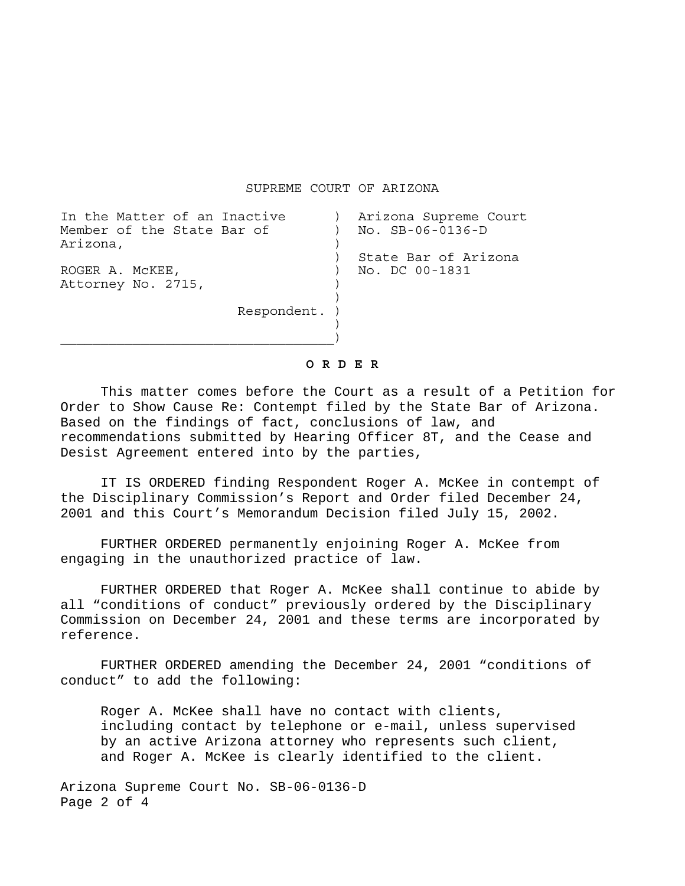SUPREME COURT OF ARIZONA

| In the Matter of an Inactive |               | Arizona Supreme Court |
|------------------------------|---------------|-----------------------|
| Member of the State Bar of   |               | No. SB-06-0136-D      |
| Arizona,                     |               |                       |
|                              |               | State Bar of Arizona  |
| ROGER A. MCKEE,              |               | No. DC 00-1831        |
| Attorney No. 2715,           |               |                       |
|                              |               |                       |
|                              | Respondent. ) |                       |
|                              |               |                       |
|                              |               |                       |

**O R D E R** 

This matter comes before the Court as a result of a Petition for Order to Show Cause Re: Contempt filed by the State Bar of Arizona. Based on the findings of fact, conclusions of law, and recommendations submitted by Hearing Officer 8T, and the Cease and Desist Agreement entered into by the parties,

 IT IS ORDERED finding Respondent Roger A. McKee in contempt of the Disciplinary Commission's Report and Order filed December 24, 2001 and this Court's Memorandum Decision filed July 15, 2002.

 FURTHER ORDERED permanently enjoining Roger A. McKee from engaging in the unauthorized practice of law.

 FURTHER ORDERED that Roger A. McKee shall continue to abide by all "conditions of conduct" previously ordered by the Disciplinary Commission on December 24, 2001 and these terms are incorporated by reference.

 FURTHER ORDERED amending the December 24, 2001 "conditions of conduct" to add the following:

Roger A. McKee shall have no contact with clients, including contact by telephone or e-mail, unless supervised by an active Arizona attorney who represents such client, and Roger A. McKee is clearly identified to the client.

Arizona Supreme Court No. SB-06-0136-D Page 2 of 4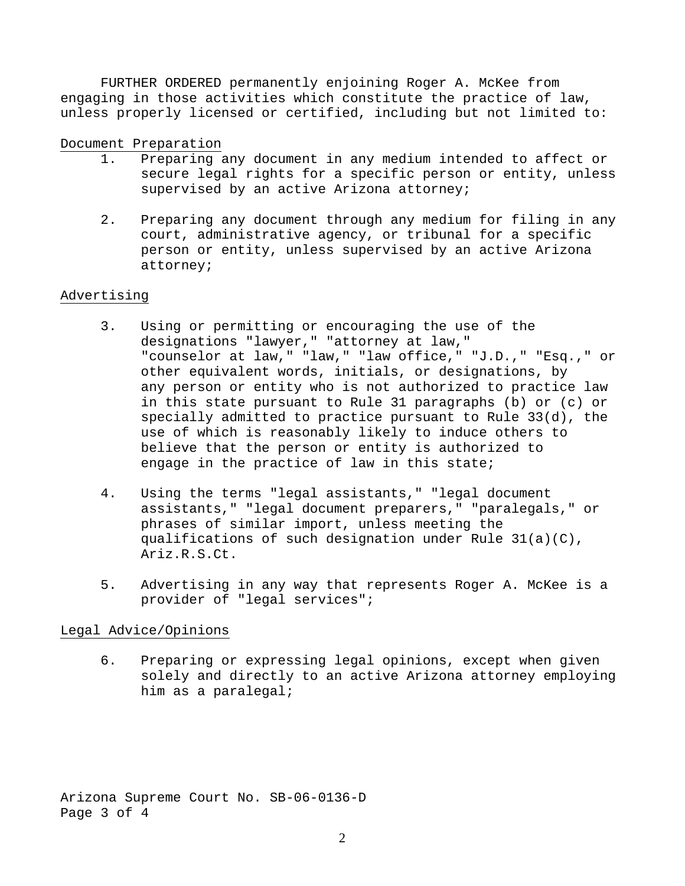FURTHER ORDERED permanently enjoining Roger A. McKee from engaging in those activities which constitute the practice of law, unless properly licensed or certified, including but not limited to:

## Document Preparation

- 1. Preparing any document in any medium intended to affect or secure legal rights for a specific person or entity, unless supervised by an active Arizona attorney;
- 2. Preparing any document through any medium for filing in any court, administrative agency, or tribunal for a specific person or entity, unless supervised by an active Arizona attorney;

## Advertising

- 3. Using or permitting or encouraging the use of the designations "lawyer," "attorney at law," "counselor at law," "law," "law office," "J.D.," "Esq.," or other equivalent words, initials, or designations, by any person or entity who is not authorized to practice law in this state pursuant to Rule 31 paragraphs (b) or (c) or specially admitted to practice pursuant to Rule 33(d), the use of which is reasonably likely to induce others to believe that the person or entity is authorized to engage in the practice of law in this state;
- 4. Using the terms "legal assistants," "legal document assistants," "legal document preparers," "paralegals," or phrases of similar import, unless meeting the qualifications of such designation under Rule 31(a)(C), Ariz.R.S.Ct.
- 5. Advertising in any way that represents Roger A. McKee is a provider of "legal services";

## Legal Advice/Opinions

6. Preparing or expressing legal opinions, except when given solely and directly to an active Arizona attorney employing him as a paralegal;

Arizona Supreme Court No. SB-06-0136-D Page 3 of 4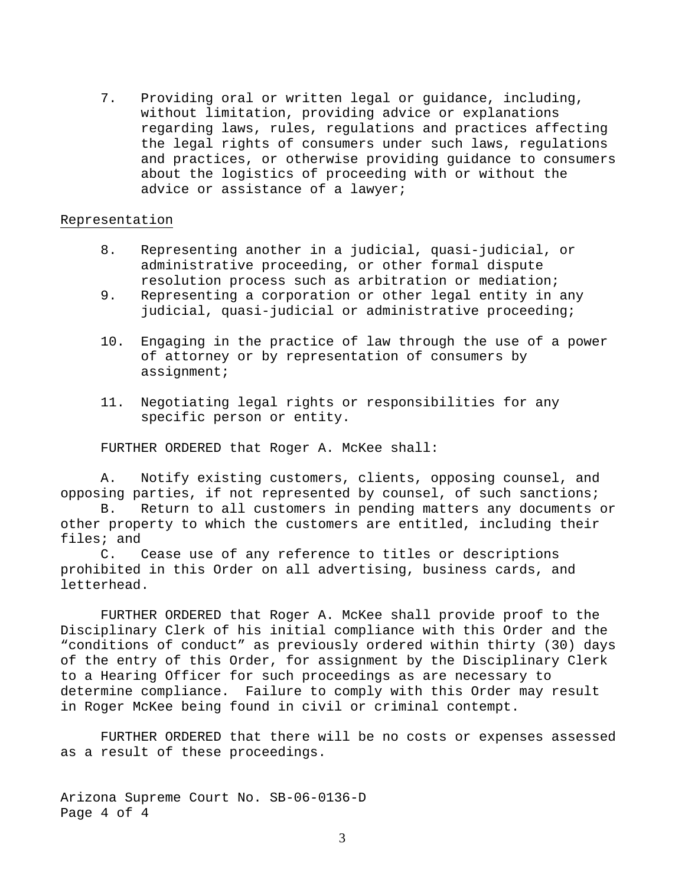7. Providing oral or written legal or guidance, including, without limitation, providing advice or explanations regarding laws, rules, regulations and practices affecting the legal rights of consumers under such laws, regulations and practices, or otherwise providing guidance to consumers about the logistics of proceeding with or without the advice or assistance of a lawyer;

## Representation

- 8. Representing another in a judicial, quasi-judicial, or administrative proceeding, or other formal dispute resolution process such as arbitration or mediation;
- 9. Representing a corporation or other legal entity in any judicial, quasi-judicial or administrative proceeding;
- 10. Engaging in the practice of law through the use of a power of attorney or by representation of consumers by assignment;
- 11. Negotiating legal rights or responsibilities for any specific person or entity.

FURTHER ORDERED that Roger A. McKee shall:

A. Notify existing customers, clients, opposing counsel, and opposing parties, if not represented by counsel, of such sanctions;

B. Return to all customers in pending matters any documents or other property to which the customers are entitled, including their files; and

C. Cease use of any reference to titles or descriptions prohibited in this Order on all advertising, business cards, and letterhead.

FURTHER ORDERED that Roger A. McKee shall provide proof to the Disciplinary Clerk of his initial compliance with this Order and the "conditions of conduct" as previously ordered within thirty (30) days of the entry of this Order, for assignment by the Disciplinary Clerk to a Hearing Officer for such proceedings as are necessary to determine compliance. Failure to comply with this Order may result in Roger McKee being found in civil or criminal contempt.

FURTHER ORDERED that there will be no costs or expenses assessed as a result of these proceedings.

Arizona Supreme Court No. SB-06-0136-D Page 4 of 4